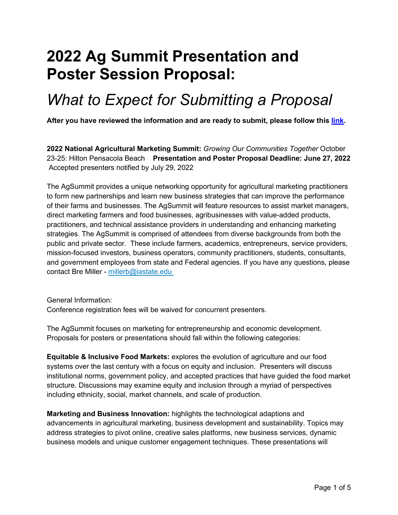## **2022 Ag Summit Presentation and Poster Session Proposal:**

## *What to Expect for Submitting a Proposal*

**After you have reviewed the information and are ready to submit, please follow this [link.](https://iastate.qualtrics.com/jfe/form/SV_eWqphZeDXShVJjg)** 

**2022 National Agricultural Marketing Summit:** *Growing Our Communities Together* October 23-25: Hilton Pensacola Beach **Presentation and Poster Proposal Deadline: June 27, 2022** Accepted presenters notified by July 29, 2022

The AgSummit provides a unique networking opportunity for agricultural marketing practitioners to form new partnerships and learn new business strategies that can improve the performance of their farms and businesses. The AgSummit will feature resources to assist market managers, direct marketing farmers and food businesses, agribusinesses with value-added products, practitioners, and technical assistance providers in understanding and enhancing marketing strategies. The AgSummit is comprised of attendees from diverse backgrounds from both the public and private sector. These include farmers, academics, entrepreneurs, service providers, mission-focused investors, business operators, community practitioners, students, consultants, and government employees from state and Federal agencies. If you have any questions, please contact Bre Miller - [millerb@iastate.edu](mailto:bmiller@iastate.edu?subject=Direct%20Marketing%20Summit%20Call%20for%20Proposals)

General Information: Conference registration fees will be waived for concurrent presenters.

The AgSummit focuses on marketing for entrepreneurship and economic development. Proposals for posters or presentations should fall within the following categories:

**Equitable & Inclusive Food Markets:** explores the evolution of agriculture and our food systems over the last century with a focus on equity and inclusion. Presenters will discuss institutional norms, government policy, and accepted practices that have guided the food market structure. Discussions may examine equity and inclusion through a myriad of perspectives including ethnicity, social, market channels, and scale of production.

**Marketing and Business Innovation:** highlights the technological adaptions and advancements in agricultural marketing, business development and sustainability. Topics may address strategies to pivot online, creative sales platforms, new business services, dynamic business models and unique customer engagement techniques. These presentations will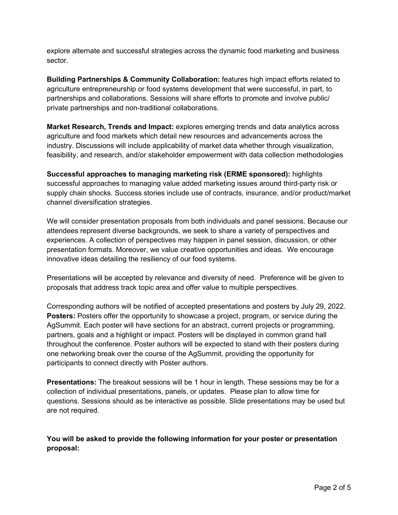explore alternate and successful strategies across the dynamic food marketing and business sector.

**Building Partnerships & Community Collaboration:** features high impact efforts related to agriculture entrepreneurship or food systems development that were successful, in part, to partnerships and collaborations. Sessions will share efforts to promote and involve public/ private partnerships and non-traditional collaborations.

**Market Research, Trends and Impact:** explores emerging trends and data analytics across agriculture and food markets which detail new resources and advancements across the industry. Discussions will include applicability of market data whether through visualization, feasibility, and research, and/or stakeholder empowerment with data collection methodologies

**Successful approaches to managing marketing risk (ERME sponsored):** highlights successful approaches to managing value added marketing issues around third-party risk or supply chain shocks. Success stories include use of contracts, insurance, and/or product/market channel diversification strategies.

We will consider presentation proposals from both individuals and panel sessions. Because our attendees represent diverse backgrounds, we seek to share a variety of perspectives and experiences. A collection of perspectives may happen in panel session, discussion, or other presentation formats. Moreover, we value creative opportunities and ideas. We encourage innovative ideas detailing the resiliency of our food systems.

Presentations will be accepted by relevance and diversity of need. Preference will be given to proposals that address track topic area and offer value to multiple perspectives.

Corresponding authors will be notified of accepted presentations and posters by July 29, 2022. **Posters:** Posters offer the opportunity to showcase a project, program, or service during the AgSummit. Each poster will have sections for an abstract, current projects or programming, partners, goals and a highlight or impact. Posters will be displayed in common grand hall throughout the conference. Poster authors will be expected to stand with their posters during one networking break over the course of the AgSummit, providing the opportunity for participants to connect directly with Poster authors.

**Presentations:** The breakout sessions will be 1 hour in length. These sessions may be for a collection of individual presentations, panels, or updates. Please plan to allow time for questions. Sessions should as be interactive as possible. Slide presentations may be used but are not required.

**You will be asked to provide the following information for your poster or presentation proposal:**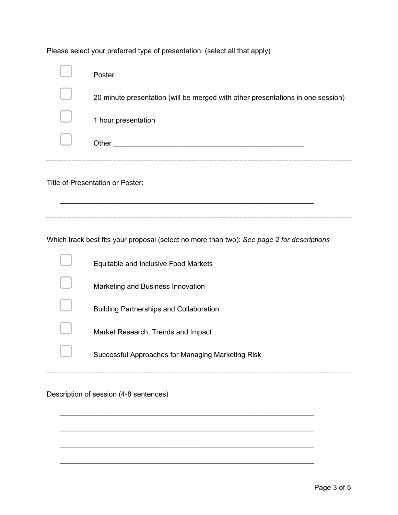Please select your preferred type of presentation: (select all that apply)

| Poster                                                                          |
|---------------------------------------------------------------------------------|
| 20 minute presentation (will be merged with other presentations in one session) |
| 1 hour presentation                                                             |
| Other                                                                           |
|                                                                                 |

Title of Presentation or Poster:

Which track best fits your proposal (select no more than two): *See page 2 for descriptions*

 $\_$  , and the set of the set of the set of the set of the set of the set of the set of the set of the set of the set of the set of the set of the set of the set of the set of the set of the set of the set of the set of th

| Equitable and Inclusive Food Markets              |
|---------------------------------------------------|
| Marketing and Business Innovation                 |
| <b>Building Partnerships and Collaboration</b>    |
| Market Research, Trends and Impact                |
| Successful Approaches for Managing Marketing Risk |
|                                                   |

\_\_\_\_\_\_\_\_\_\_\_\_\_\_\_\_\_\_\_\_\_\_\_\_\_\_\_\_\_\_\_\_\_\_\_\_\_\_\_\_\_\_\_\_\_\_\_\_\_\_\_\_\_\_\_\_\_\_\_\_\_\_\_\_

 $\_$  , and the set of the set of the set of the set of the set of the set of the set of the set of the set of the set of the set of the set of the set of the set of the set of the set of the set of the set of the set of th

 $\_$  , and the set of the set of the set of the set of the set of the set of the set of the set of the set of the set of the set of the set of the set of the set of the set of the set of the set of the set of the set of th

\_\_\_\_\_\_\_\_\_\_\_\_\_\_\_\_\_\_\_\_\_\_\_\_\_\_\_\_\_\_\_\_\_\_\_\_\_\_\_\_\_\_\_\_\_\_\_\_\_\_\_\_\_\_\_\_\_\_\_\_\_\_\_\_

## Description of session (4-8 sentences)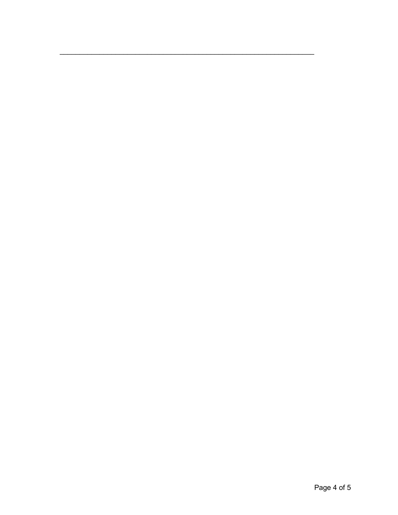Page 4 of 5